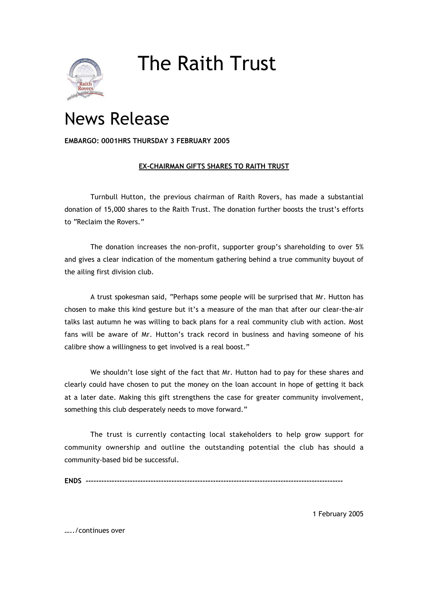

## The Raith Trust

## News Release

## **EMBARGO: 0001HRS THURSDAY 3 FEBRUARY 2005**

## **EX-CHAIRMAN GIFTS SHARES TO RAITH TRUST**

Turnbull Hutton, the previous chairman of Raith Rovers, has made a substantial donation of 15,000 shares to the Raith Trust. The donation further boosts the trust's efforts to "Reclaim the Rovers."

The donation increases the non-profit, supporter group's shareholding to over 5% and gives a clear indication of the momentum gathering behind a true community buyout of the ailing first division club.

A trust spokesman said, "Perhaps some people will be surprised that Mr. Hutton has chosen to make this kind gesture but it's a measure of the man that after our clear-the-air talks last autumn he was willing to back plans for a real community club with action. Most fans will be aware of Mr. Hutton's track record in business and having someone of his calibre show a willingness to get involved is a real boost."

We shouldn't lose sight of the fact that Mr. Hutton had to pay for these shares and clearly could have chosen to put the money on the loan account in hope of getting it back at a later date. Making this gift strengthens the case for greater community involvement, something this club desperately needs to move forward."

The trust is currently contacting local stakeholders to help grow support for community ownership and outline the outstanding potential the club has should a community-based bid be successful.

**ENDS ---------------------------------------------------------------------------------------------------**

1 February 2005

…../continues over